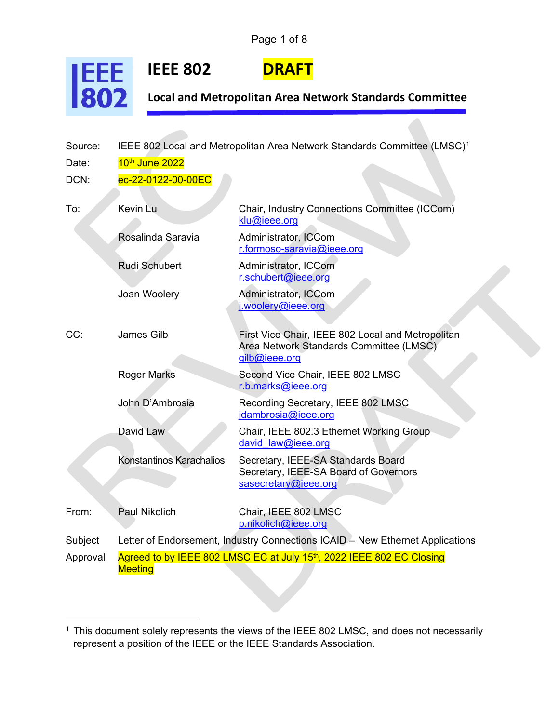Page 1 of 8

**IEEE 802 DRAF** 

**JEEE**<br>802



**Local and Metropolitan Area Network Standards Committee**

| Source:  | IEEE 802 Local and Metropolitan Area Network Standards Committee (LMSC) <sup>1</sup>   |                                                                                                               |  |
|----------|----------------------------------------------------------------------------------------|---------------------------------------------------------------------------------------------------------------|--|
| Date:    | 10 <sup>th</sup> June 2022                                                             |                                                                                                               |  |
| DCN:     | ec-22-0122-00-00EC                                                                     |                                                                                                               |  |
| To:      | Kevin Lu                                                                               | Chair, Industry Connections Committee (ICCom)<br>klu@ieee.org                                                 |  |
|          | Rosalinda Saravia                                                                      | Administrator, ICCom<br>r.formoso-saravia@ieee.org                                                            |  |
|          | <b>Rudi Schubert</b>                                                                   | Administrator, ICCom<br>r.schubert@ieee.org                                                                   |  |
|          | Joan Woolery                                                                           | Administrator, ICCom<br>i.woolery@ieee.org                                                                    |  |
| CC:      | <b>James Gilb</b>                                                                      | First Vice Chair, IEEE 802 Local and Metropolitan<br>Area Network Standards Committee (LMSC)<br>gilb@ieee.org |  |
|          | <b>Roger Marks</b>                                                                     | Second Vice Chair, IEEE 802 LMSC<br>r.b.marks@ieee.org                                                        |  |
|          | John D'Ambrosia                                                                        | Recording Secretary, IEEE 802 LMSC<br>jdambrosia@ieee.org                                                     |  |
|          | David Law                                                                              | Chair, IEEE 802.3 Ethernet Working Group<br>david law@ieee.org                                                |  |
|          | Konstantinos Karachalios                                                               | Secretary, IEEE-SA Standards Board<br>Secretary, IEEE-SA Board of Governors<br>sasecretary@ieee.org           |  |
| From:    | <b>Paul Nikolich</b>                                                                   | Chair, IEEE 802 LMSC<br>p.nikolich@ieee.org                                                                   |  |
| Subject  | Letter of Endorsement, Industry Connections ICAID - New Ethernet Applications          |                                                                                                               |  |
| Approval | Agreed to by IEEE 802 LMSC EC at July 15th, 2022 IEEE 802 EC Closing<br><b>Meeting</b> |                                                                                                               |  |

<span id="page-0-0"></span><sup>1</sup> This document solely represents the views of the IEEE 802 LMSC, and does not necessarily represent a position of the IEEE or the IEEE Standards Association.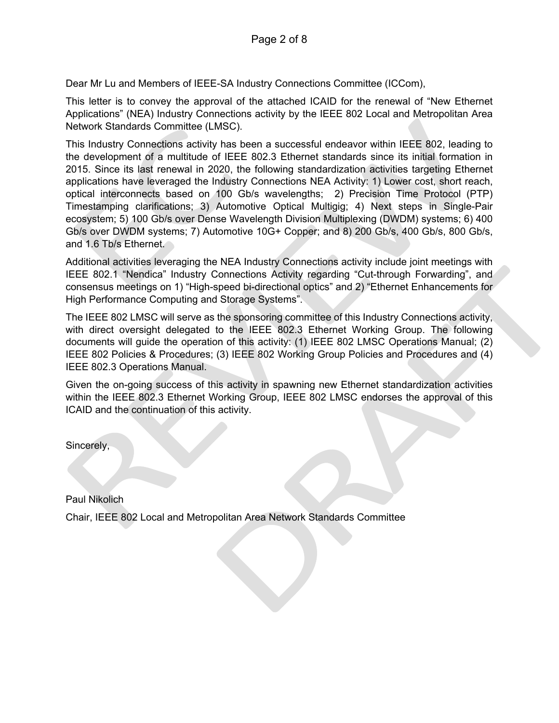Dear Mr Lu and Members of IEEE-SA Industry Connections Committee (ICCom),

This letter is to convey the approval of the attached ICAID for the renewal of "New Ethernet Applications" (NEA) Industry Connections activity by the IEEE 802 Local and Metropolitan Area Network Standards Committee (LMSC).

This Industry Connections activity has been a successful endeavor within IEEE 802, leading to the development of a multitude of IEEE 802.3 Ethernet standards since its initial formation in 2015. Since its last renewal in 2020, the following standardization activities targeting Ethernet applications have leveraged the Industry Connections NEA Activity: 1) Lower cost, short reach, optical interconnects based on 100 Gb/s wavelengths; 2) Precision Time Protocol (PTP) Timestamping clarifications; 3) Automotive Optical Multigig; 4) Next steps in Single-Pair ecosystem; 5) 100 Gb/s over Dense Wavelength Division Multiplexing (DWDM) systems; 6) 400 Gb/s over DWDM systems; 7) Automotive 10G+ Copper; and 8) 200 Gb/s, 400 Gb/s, 800 Gb/s, and 1.6 Tb/s Ethernet.

Additional activities leveraging the NEA Industry Connections activity include joint meetings with IEEE 802.1 "Nendica" Industry Connections Activity regarding "Cut-through Forwarding", and consensus meetings on 1) "High-speed bi-directional optics" and 2) "Ethernet Enhancements for High Performance Computing and Storage Systems".

The IEEE 802 LMSC will serve as the sponsoring committee of this Industry Connections activity, with direct oversight delegated to the IEEE 802.3 Ethernet Working Group. The following documents will guide the operation of this activity: (1) IEEE 802 LMSC Operations Manual; (2) IEEE 802 Policies & Procedures; (3) IEEE 802 Working Group Policies and Procedures and (4) IEEE 802.3 Operations Manual.

Given the on-going success of this activity in spawning new Ethernet standardization activities within the IEEE 802.3 Ethernet Working Group, IEEE 802 LMSC endorses the approval of this ICAID and the continuation of this activity.

Sincerely,

Paul Nikolich Chair, IEEE 802 Local and Metropolitan Area Network Standards Committee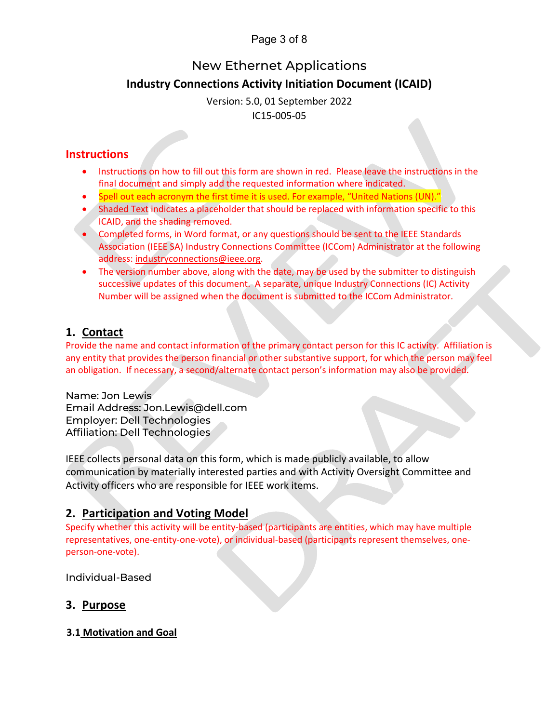# Page 3 of 8

# New Ethernet Applications

# **Industry Connections Activity Initiation Document (ICAID)**

Version: 5.0, 01 September 2022 IC15-005-05

# **Instructions**

- Instructions on how to fill out this form are shown in red. Please leave the instructions in the final document and simply add the requested information where indicated.
- Spell out each acronym the first time it is used. For example, "United Nations (UN)."
- Shaded Text indicates a placeholder that should be replaced with information specific to this ICAID, and the shading removed.
- Completed forms, in Word format, or any questions should be sent to the IEEE Standards Association (IEEE SA) Industry Connections Committee (ICCom) Administrator at the following address: [industryconnections@ieee.org.](mailto:industryconnections@ieee.org)
- The version number above, along with the date, may be used by the submitter to distinguish successive updates of this document. A separate, unique Industry Connections (IC) Activity Number will be assigned when the document is submitted to the ICCom Administrator.

# **1. Contact**

Provide the name and contact information of the primary contact person for this IC activity. Affiliation is any entity that provides the person financial or other substantive support, for which the person may feel an obligation. If necessary, a second/alternate contact person's information may also be provided.

Name: Jon Lewis Email Address: Jon.Lewis@dell.com Employer: Dell Technologies Affiliation: Dell Technologies

IEEE collects personal data on this form, which is made publicly available, to allow communication by materially interested parties and with Activity Oversight Committee and Activity officers who are responsible for IEEE work items.

# **2. Participation and Voting Model**

Specify whether this activity will be entity-based (participants are entities, which may have multiple representatives, one-entity-one-vote), or individual-based (participants represent themselves, oneperson-one-vote).

Individual-Based

# **3. Purpose**

# **3.1 Motivation and Goal**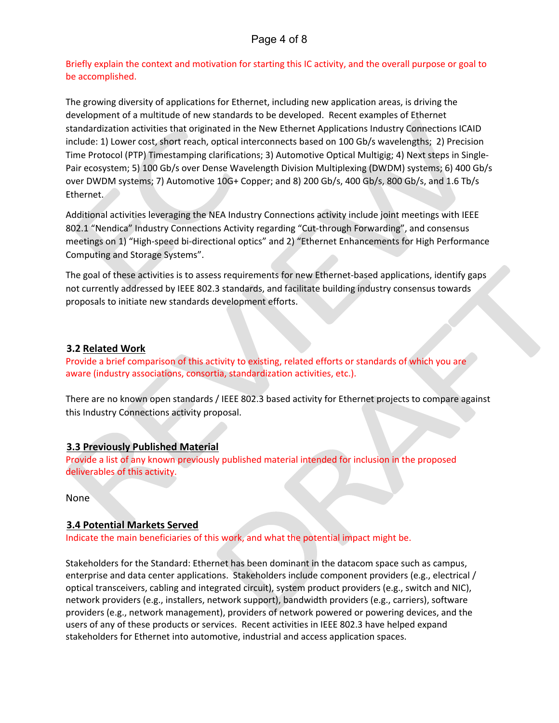# Page 4 of 8

Briefly explain the context and motivation for starting this IC activity, and the overall purpose or goal to be accomplished.

The growing diversity of applications for Ethernet, including new application areas, is driving the development of a multitude of new standards to be developed. Recent examples of Ethernet standardization activities that originated in the New Ethernet Applications Industry Connections ICAID include: 1) Lower cost, short reach, optical interconnects based on 100 Gb/s wavelengths; 2) Precision Time Protocol (PTP) Timestamping clarifications; 3) Automotive Optical Multigig; 4) Next steps in Single-Pair ecosystem; 5) 100 Gb/s over Dense Wavelength Division Multiplexing (DWDM) systems; 6) 400 Gb/s over DWDM systems; 7) Automotive 10G+ Copper; and 8) 200 Gb/s, 400 Gb/s, 800 Gb/s, and 1.6 Tb/s Ethernet.

Additional activities leveraging the NEA Industry Connections activity include joint meetings with IEEE 802.1 "Nendica" Industry Connections Activity regarding "Cut-through Forwarding", and consensus meetings on 1) "High-speed bi-directional optics" and 2) "Ethernet Enhancements for High Performance Computing and Storage Systems".

The goal of these activities is to assess requirements for new Ethernet-based applications, identify gaps not currently addressed by IEEE 802.3 standards, and facilitate building industry consensus towards proposals to initiate new standards development efforts.

### **3.2 Related Work**

Provide a brief comparison of this activity to existing, related efforts or standards of which you are aware (industry associations, consortia, standardization activities, etc.).

There are no known open standards / IEEE 802.3 based activity for Ethernet projects to compare against this Industry Connections activity proposal.

### **3.3 Previously Published Material**

Provide a list of any known previously published material intended for inclusion in the proposed deliverables of this activity.

None

### **3.4 Potential Markets Served**

Indicate the main beneficiaries of this work, and what the potential impact might be.

Stakeholders for the Standard: Ethernet has been dominant in the datacom space such as campus, enterprise and data center applications. Stakeholders include component providers (e.g., electrical / optical transceivers, cabling and integrated circuit), system product providers (e.g., switch and NIC), network providers (e.g., installers, network support), bandwidth providers (e.g., carriers), software providers (e.g., network management), providers of network powered or powering devices, and the users of any of these products or services. Recent activities in IEEE 802.3 have helped expand stakeholders for Ethernet into automotive, industrial and access application spaces.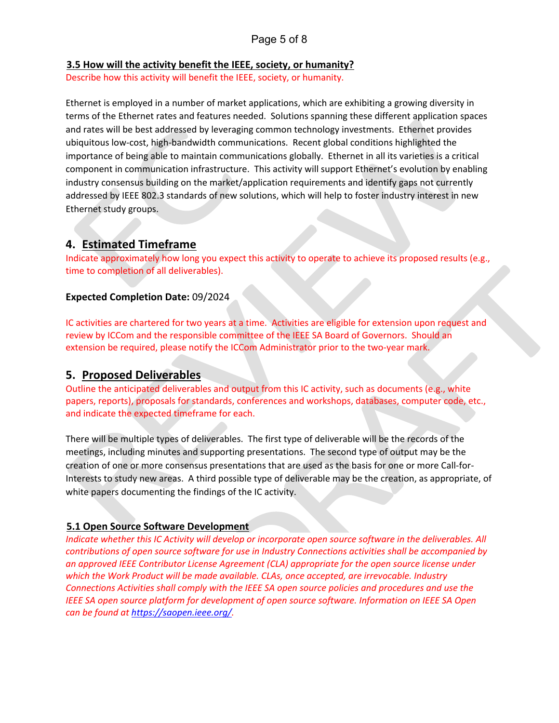# Page 5 of 8

#### **3.5 How will the activity benefit the IEEE, society, or humanity?**

Describe how this activity will benefit the IEEE, society, or humanity.

Ethernet is employed in a number of market applications, which are exhibiting a growing diversity in terms of the Ethernet rates and features needed. Solutions spanning these different application spaces and rates will be best addressed by leveraging common technology investments. Ethernet provides ubiquitous low-cost, high-bandwidth communications. Recent global conditions highlighted the importance of being able to maintain communications globally. Ethernet in all its varieties is a critical component in communication infrastructure. This activity will support Ethernet's evolution by enabling industry consensus building on the market/application requirements and identify gaps not currently addressed by IEEE 802.3 standards of new solutions, which will help to foster industry interest in new Ethernet study groups.

# **4. Estimated Timeframe**

Indicate approximately how long you expect this activity to operate to achieve its proposed results (e.g., time to completion of all deliverables).

### **Expected Completion Date:** 09/2024

IC activities are chartered for two years at a time. Activities are eligible for extension upon request and review by ICCom and the responsible committee of the IEEE SA Board of Governors. Should an extension be required, please notify the ICCom Administrator prior to the two-year mark.

## **5. Proposed Deliverables**

Outline the anticipated deliverables and output from this IC activity, such as documents (e.g., white papers, reports), proposals for standards, conferences and workshops, databases, computer code, etc., and indicate the expected timeframe for each.

There will be multiple types of deliverables. The first type of deliverable will be the records of the meetings, including minutes and supporting presentations. The second type of output may be the creation of one or more consensus presentations that are used as the basis for one or more Call-for-Interests to study new areas. A third possible type of deliverable may be the creation, as appropriate, of white papers documenting the findings of the IC activity.

## **5.1 Open Source Software Development**

*Indicate whether this IC Activity will develop or incorporate open source software in the deliverables. All contributions of open source software for use in Industry Connections activities shall be accompanied by an approved IEEE Contributor License Agreement (CLA) appropriate for the open source license under which the Work Product will be made available. CLAs, once accepted, are irrevocable. Industry Connections Activities shall comply with the IEEE SA open source policies and procedures and use the IEEE SA open source platform for development of open source software. Information on IEEE SA Open can be found at [https://saopen.ieee.org/.](https://saopen.ieee.org/)*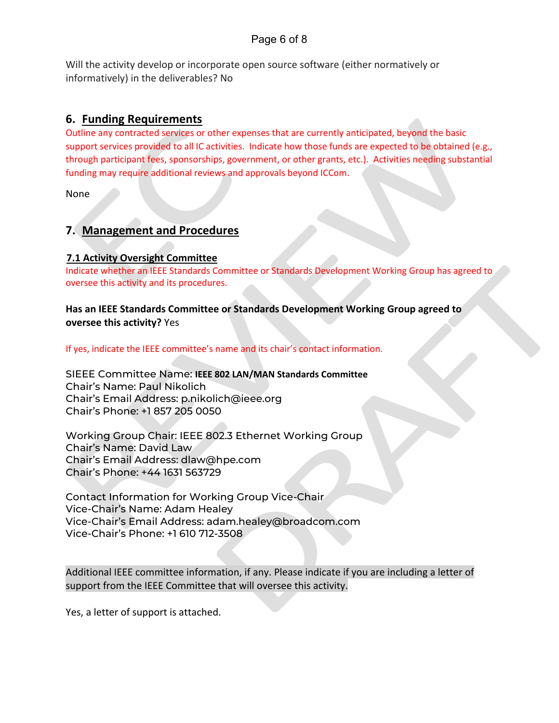# Page 6 of 8

Will the activity develop or incorporate open source software (either normatively or informatively) in the deliverables? No

# **6. Funding Requirements**

Outline any contracted services or other expenses that are currently anticipated, beyond the basic support services provided to all IC activities. Indicate how those funds are expected to be obtained (e.g., through participant fees, sponsorships, government, or other grants, etc.). Activities needing substantial funding may require additional reviews and approvals beyond ICCom.

None

# **7. Management and Procedures**

## **7.1 Activity Oversight Committee**

Indicate whether an IEEE Standards Committee or Standards Development Working Group has agreed to oversee this activity and its procedures.

## **Has an IEEE Standards Committee or Standards Development Working Group agreed to oversee this activity?** Yes

If yes, indicate the IEEE committee's name and its chair's contact information.

SIEEE Committee Name: **IEEE 802 LAN/MAN Standards Committee** Chair's Name: Paul Nikolich Chair's Email Address: p.nikolich@ieee.org Chair's Phone: +1 857 205 0050

Working Group Chair: IEEE 802.3 Ethernet Working Group Chair's Name: David Law Chair's Email Address: dlaw@hpe.com Chair's Phone: +44 1631 563729

Contact Information for Working Group Vice-Chair Vice-Chair's Name: Adam Healey Vice-Chair's Email Address: adam.healey@broadcom.com Vice-Chair's Phone: +1 610 712-3508

Additional IEEE committee information, if any. Please indicate if you are including a letter of support from the IEEE Committee that will oversee this activity.

Yes, a letter of support is attached.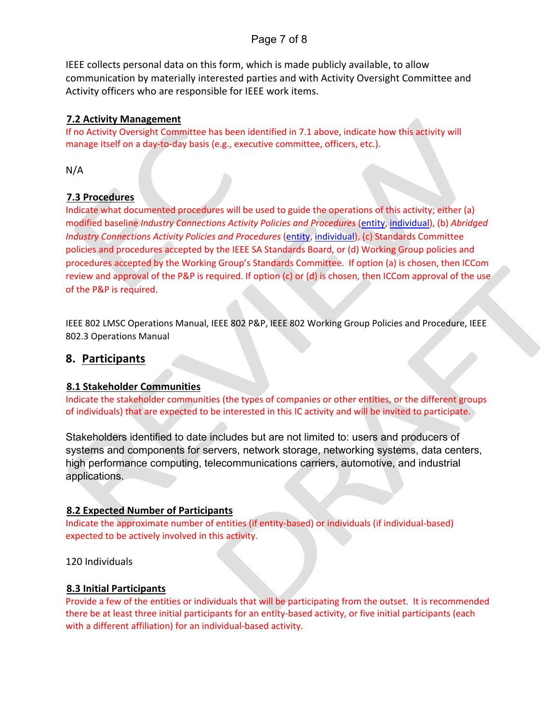# Page 7 of 8

IEEE collects personal data on this form, which is made publicly available, to allow communication by materially interested parties and with Activity Oversight Committee and Activity officers who are responsible for IEEE work items.

### **7.2 Activity Management**

If no Activity Oversight Committee has been identified in 7.1 above, indicate how this activity will manage itself on a day-to-day basis (e.g., executive committee, officers, etc.).

N/A

## **7.3 Procedures**

Indicate what documented procedures will be used to guide the operations of this activity; either (a) modified baseline *Industry Connections Activity Policies and Procedures* [\(entity,](https://standards.ieee.org/content/dam/ieee-standards/standards/web/governance/iccom/IC_Activity_PNP_Entity_Baseline.doc) [individual\)](https://standards.ieee.org/content/dam/ieee-standards/standards/web/governance/iccom/IC_Activity_PNP_Individual_Baseline.doc), (b) *Abridged Industry Connections Activity Policies and Procedures* [\(entity,](https://standards.ieee.org/content/dam/ieee-standards/standards/web/governance/iccom/IC_Activity_PP_Abridged_Entity.doc) [individual\)](https://standards.ieee.org/content/dam/ieee-standards/standards/web/governance/iccom/IC_Activity_PP_Abridged_Individual.doc), (c) Standards Committee policies and procedures accepted by the IEEE SA Standards Board, or (d) Working Group policies and procedures accepted by the Working Group's Standards Committee. If option (a) is chosen, then ICCom review and approval of the P&P is required. If option (c) or (d) is chosen, then ICCom approval of the use of the P&P is required.

IEEE 802 LMSC Operations Manual, IEEE 802 P&P, IEEE 802 Working Group Policies and Procedure, IEEE 802.3 Operations Manual

## **8. Participants**

## **8.1 Stakeholder Communities**

Indicate the stakeholder communities (the types of companies or other entities, or the different groups of individuals) that are expected to be interested in this IC activity and will be invited to participate.

Stakeholders identified to date includes but are not limited to: users and producers of systems and components for servers, network storage, networking systems, data centers, high performance computing, telecommunications carriers, automotive, and industrial applications.

### **8.2 Expected Number of Participants**

Indicate the approximate number of entities (if entity-based) or individuals (if individual-based) expected to be actively involved in this activity.

120 Individuals

### **8.3 Initial Participants**

Provide a few of the entities or individuals that will be participating from the outset. It is recommended there be at least three initial participants for an entity-based activity, or five initial participants (each with a different affiliation) for an individual-based activity.